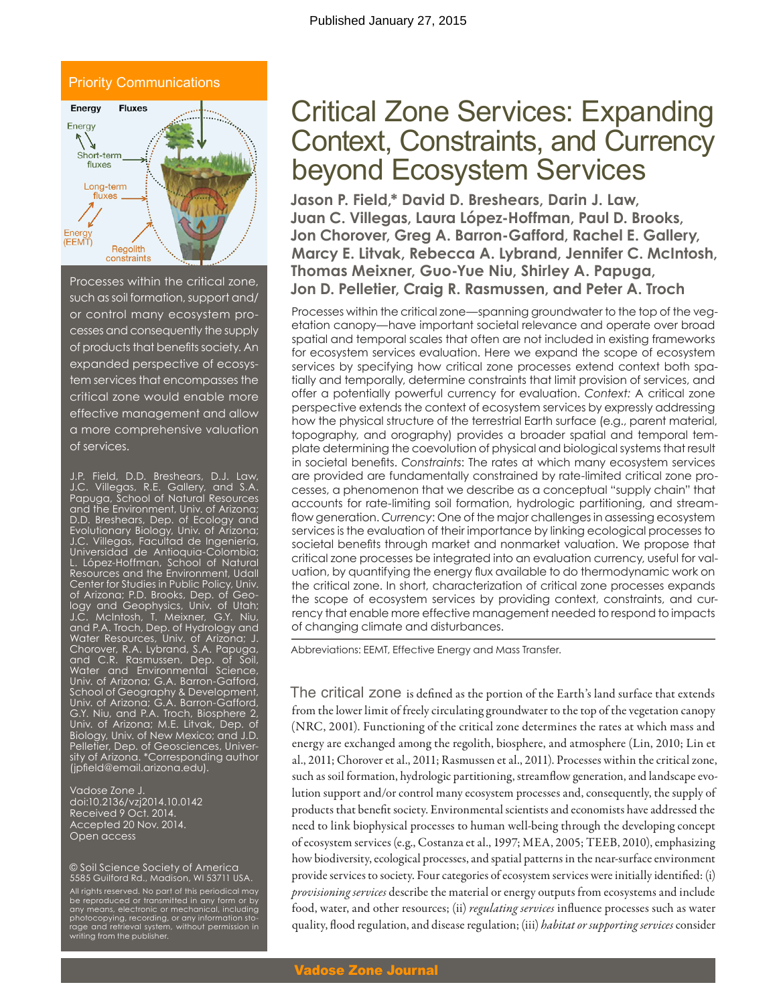### Priority Communications



Processes within the critical zone, such as soil formation, support and/ or control many ecosystem processes and consequently the supply of products that benefits society. An expanded perspective of ecosystem services that encompasses the critical zone would enable more effective management and allow a more comprehensive valuation of services.

J.P. Field, D.D. Breshears, D.J. Law, J.C. Villegas, R.E. Gallery, and S.A. Papuga, School of Natural Resources and the Environment, Univ. of Arizona; D.D. Breshears, Dep. of Ecology and Evolutionary Biology, Univ. of Arizona; J.C. Villegas, Facultad de Ingeniería, Universidad de Antioquia-Colombia; López-Hoffman, School of Natural Resources and the Environment, Udall Center for Studies in Public Policy, Univ. of Arizona; P.D. Brooks, Dep. of Geology and Geophysics, Univ. of Utah; J.C. McIntosh, T. Meixner, G.Y. Niu, and P.A. Troch, Dep. of Hydrology and Water Resources, Univ. of Arizona; J. Chorover, R.A. Lybrand, S.A. Papuga, and C.R. Rasmussen, Dep. of Soil, Water and Environmental Science, Univ. of Arizona; G.A. Barron-Gafford, School of Geography & Development, Univ. of Arizona; G.A. Barron-Gafford, G.Y. Niu, and P.A. Troch, Biosphere 2, Univ. of Arizona; M.E. Litvak, Dep. of Biology, Univ. of New Mexico; and J.D. Pelletier, Dep. of Geosciences, University of Arizona. \*Corresponding author ([jpfield@email.arizona.edu\)](mailto:jpfield@email.arizona.edu).

Vadose Zone J. doi[:10.2136/vzj2](10.2136/vzj)014.10.0142 Received 9 Oct. 2014. Accepted 20 Nov. 2014. Open access

© Soil Science Society of America 5585 Guilford Rd., Madison, WI 53711 USA.

All rights reserved. No part of this periodical may<br>be reproduced or transmitted in any form or by<br>any means, electronic or mechanical, including<br>photocopying, recording, or any information sto-<br>rage and retrieval system,

# Critical Zone Services: Expanding Context, Constraints, and Currency beyond Ecosystem Services

**Jason P. Field,\* David D. Breshears, Darin J. Law, Juan C. Villegas, Laura López-Hoffman, Paul D. Brooks, Jon Chorover, Greg A. Barron-Gafford, Rachel E. Gallery, Marcy E. Litvak, Rebecca A. Lybrand, Jennifer C. McIntosh, Thomas Meixner, Guo-Yue Niu, Shirley A. Papuga, Jon D. Pelletier, Craig R. Rasmussen, and Peter A. Troch**

Processes within the critical zone—spanning groundwater to the top of the vegetation canopy—have important societal relevance and operate over broad spatial and temporal scales that often are not included in existing frameworks for ecosystem services evaluation. Here we expand the scope of ecosystem services by specifying how critical zone processes extend context both spatially and temporally, determine constraints that limit provision of services, and offer a potentially powerful currency for evaluation. *Context:* A critical zone perspective extends the context of ecosystem services by expressly addressing how the physical structure of the terrestrial Earth surface (e.g., parent material, topography, and orography) provides a broader spatial and temporal template determining the coevolution of physical and biological systems that result in societal benefits. *Constraints*: The rates at which many ecosystem services are provided are fundamentally constrained by rate-limited critical zone processes, a phenomenon that we describe as a conceptual "supply chain" that accounts for rate-limiting soil formation, hydrologic partitioning, and streamflow generation. *Currency*: One of the major challenges in assessing ecosystem services is the evaluation of their importance by linking ecological processes to societal benefits through market and nonmarket valuation. We propose that critical zone processes be integrated into an evaluation currency, useful for valuation, by quantifying the energy flux available to do thermodynamic work on the critical zone. In short, characterization of critical zone processes expands the scope of ecosystem services by providing context, constraints, and currency that enable more effective management needed to respond to impacts of changing climate and disturbances.

Abbreviations: EEMT, Effective Energy and Mass Transfer.

The critical zone is defined as the portion of the Earth's land surface that extends from the lower limit of freely circulating groundwater to the top of the vegetation canopy (NRC, 2001). Functioning of the critical zone determines the rates at which mass and energy are exchanged among the regolith, biosphere, and atmosphere (Lin, 2010; Lin et al., 2011; Chorover et al., 2011; Rasmussen et al., 2011). Processes within the critical zone, such as soil formation, hydrologic partitioning, streamflow generation, and landscape evolution support and/or control many ecosystem processes and, consequently, the supply of products that benefit society. Environmental scientists and economists have addressed the need to link biophysical processes to human well-being through the developing concept of ecosystem services (e.g., Costanza et al., 1997; MEA, 2005; TEEB, 2010), emphasizing how biodiversity, ecological processes, and spatial patterns in the near-surface environment provide services to society. Four categories of ecosystem services were initially identified: (i) *provisioning services* describe the material or energy outputs from ecosystems and include food, water, and other resources; (ii) *regulating services* influence processes such as water quality, flood regulation, and disease regulation; (iii) *habitat or supporting services* consider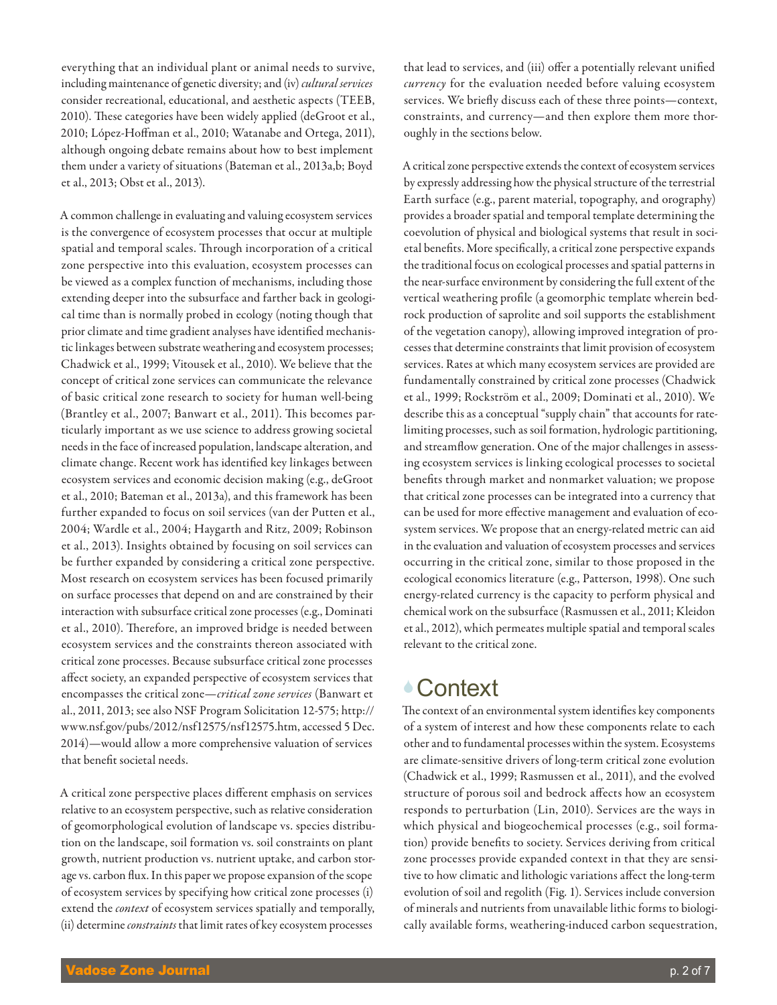everything that an individual plant or animal needs to survive, including maintenance of genetic diversity; and (iv) *cultural services* consider recreational, educational, and aesthetic aspects (TEEB, 2010). These categories have been widely applied (deGroot et al., 2010; López-Hoffman et al., 2010; Watanabe and Ortega, 2011), although ongoing debate remains about how to best implement them under a variety of situations (Bateman et al., 2013a,b; Boyd et al., 2013; Obst et al., 2013).

A common challenge in evaluating and valuing ecosystem services is the convergence of ecosystem processes that occur at multiple spatial and temporal scales. Through incorporation of a critical zone perspective into this evaluation, ecosystem processes can be viewed as a complex function of mechanisms, including those extending deeper into the subsurface and farther back in geological time than is normally probed in ecology (noting though that prior climate and time gradient analyses have identified mechanistic linkages between substrate weathering and ecosystem processes; Chadwick et al., 1999; Vitousek et al., 2010). We believe that the concept of critical zone services can communicate the relevance of basic critical zone research to society for human well-being (Brantley et al., 2007; Banwart et al., 2011). This becomes particularly important as we use science to address growing societal needs in the face of increased population, landscape alteration, and climate change. Recent work has identified key linkages between ecosystem services and economic decision making (e.g., deGroot et al., 2010; Bateman et al., 2013a), and this framework has been further expanded to focus on soil services (van der Putten et al., 2004; Wardle et al., 2004; Haygarth and Ritz, 2009; Robinson et al., 2013). Insights obtained by focusing on soil services can be further expanded by considering a critical zone perspective. Most research on ecosystem services has been focused primarily on surface processes that depend on and are constrained by their interaction with subsurface critical zone processes (e.g., Dominati et al., 2010). Therefore, an improved bridge is needed between ecosystem services and the constraints thereon associated with critical zone processes. Because subsurface critical zone processes affect society, an expanded perspective of ecosystem services that encompasses the critical zone—*critical zone services* (Banwart et al., 2011, 2013; see also NSF Program Solicitation 12-575; [http://](http://www.nsf.gov/pubs/2012/nsf12575/nsf12575.htm) [www.nsf.gov/pubs/2012/nsf12575/nsf12575.htm,](http://www.nsf.gov/pubs/2012/nsf12575/nsf12575.htm) accessed 5 Dec. 2014)—would allow a more comprehensive valuation of services that benefit societal needs.

A critical zone perspective places different emphasis on services relative to an ecosystem perspective, such as relative consideration of geomorphological evolution of landscape vs. species distribution on the landscape, soil formation vs. soil constraints on plant growth, nutrient production vs. nutrient uptake, and carbon storage vs. carbon flux. In this paper we propose expansion of the scope of ecosystem services by specifying how critical zone processes (i) extend the *context* of ecosystem services spatially and temporally, (ii) determine *constraints* that limit rates of key ecosystem processes

that lead to services, and (iii) offer a potentially relevant unified *currency* for the evaluation needed before valuing ecosystem services. We briefly discuss each of these three points—context, constraints, and currency—and then explore them more thoroughly in the sections below.

A critical zone perspective extends the context of ecosystem services by expressly addressing how the physical structure of the terrestrial Earth surface (e.g., parent material, topography, and orography) provides a broader spatial and temporal template determining the coevolution of physical and biological systems that result in societal benefits. More specifically, a critical zone perspective expands the traditional focus on ecological processes and spatial patterns in the near-surface environment by considering the full extent of the vertical weathering profile (a geomorphic template wherein bedrock production of saprolite and soil supports the establishment of the vegetation canopy), allowing improved integration of processes that determine constraints that limit provision of ecosystem services. Rates at which many ecosystem services are provided are fundamentally constrained by critical zone processes (Chadwick et al., 1999; Rockström et al., 2009; Dominati et al., 2010). We describe this as a conceptual "supply chain" that accounts for ratelimiting processes, such as soil formation, hydrologic partitioning, and streamflow generation. One of the major challenges in assessing ecosystem services is linking ecological processes to societal benefits through market and nonmarket valuation; we propose that critical zone processes can be integrated into a currency that can be used for more effective management and evaluation of ecosystem services. We propose that an energy-related metric can aid in the evaluation and valuation of ecosystem processes and services occurring in the critical zone, similar to those proposed in the ecological economics literature (e.g., Patterson, 1998). One such energy-related currency is the capacity to perform physical and chemical work on the subsurface (Rasmussen et al., 2011; Kleidon et al., 2012), which permeates multiple spatial and temporal scales relevant to the critical zone.

# **Context**

The context of an environmental system identifies key components of a system of interest and how these components relate to each other and to fundamental processes within the system. Ecosystems are climate-sensitive drivers of long-term critical zone evolution (Chadwick et al., 1999; Rasmussen et al., 2011), and the evolved structure of porous soil and bedrock affects how an ecosystem responds to perturbation (Lin, 2010). Services are the ways in which physical and biogeochemical processes (e.g., soil formation) provide benefits to society. Services deriving from critical zone processes provide expanded context in that they are sensitive to how climatic and lithologic variations affect the long-term evolution of soil and regolith (Fig. 1). Services include conversion of minerals and nutrients from unavailable lithic forms to biologically available forms, weathering-induced carbon sequestration,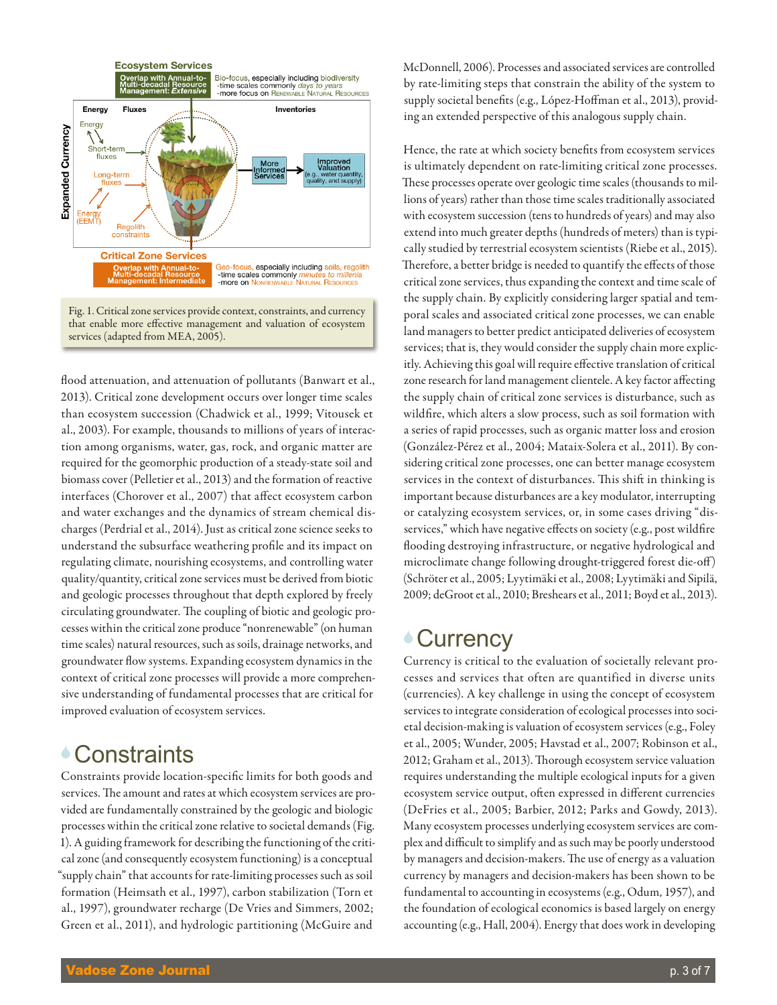

that enable more effective management and valuation of ecosystem services (adapted from MEA, 2005).

flood attenuation, and attenuation of pollutants (Banwart et al., 2013). Critical zone development occurs over longer time scales than ecosystem succession (Chadwick et al., 1999; Vitousek et al., 2003). For example, thousands to millions of years of interaction among organisms, water, gas, rock, and organic matter are required for the geomorphic production of a steady-state soil and biomass cover (Pelletier et al., 2013) and the formation of reactive interfaces (Chorover et al., 2007) that affect ecosystem carbon and water exchanges and the dynamics of stream chemical discharges (Perdrial et al., 2014). Just as critical zone science seeks to understand the subsurface weathering profile and its impact on regulating climate, nourishing ecosystems, and controlling water quality/quantity, critical zone services must be derived from biotic and geologic processes throughout that depth explored by freely circulating groundwater. The coupling of biotic and geologic processes within the critical zone produce "nonrenewable" (on human time scales) natural resources, such as soils, drainage networks, and groundwater flow systems. Expanding ecosystem dynamics in the context of critical zone processes will provide a more comprehensive understanding of fundamental processes that are critical for improved evaluation of ecosystem services.

# **Constraints**

Constraints provide location-specific limits for both goods and services. The amount and rates at which ecosystem services are provided are fundamentally constrained by the geologic and biologic processes within the critical zone relative to societal demands (Fig. 1). A guiding framework for describing the functioning of the critical zone (and consequently ecosystem functioning) is a conceptual "supply chain" that accounts for rate-limiting processes such as soil formation (Heimsath et al., 1997), carbon stabilization (Torn et al., 1997), groundwater recharge (De Vries and Simmers, 2002; Green et al., 2011), and hydrologic partitioning (McGuire and

McDonnell, 2006). Processes and associated services are controlled by rate-limiting steps that constrain the ability of the system to supply societal benefits (e.g., López-Hoffman et al., 2013), providing an extended perspective of this analogous supply chain.

Hence, the rate at which society benefits from ecosystem services is ultimately dependent on rate-limiting critical zone processes. These processes operate over geologic time scales (thousands to millions of years) rather than those time scales traditionally associated with ecosystem succession (tens to hundreds of years) and may also extend into much greater depths (hundreds of meters) than is typically studied by terrestrial ecosystem scientists (Riebe et al., 2015). Therefore, a better bridge is needed to quantify the effects of those critical zone services, thus expanding the context and time scale of the supply chain. By explicitly considering larger spatial and temporal scales and associated critical zone processes, we can enable land managers to better predict anticipated deliveries of ecosystem services; that is, they would consider the supply chain more explicitly. Achieving this goal will require effective translation of critical zone research for land management clientele. A key factor affecting the supply chain of critical zone services is disturbance, such as wildfire, which alters a slow process, such as soil formation with a series of rapid processes, such as organic matter loss and erosion (González-Pérez et al., 2004; Mataix-Solera et al., 2011). By considering critical zone processes, one can better manage ecosystem services in the context of disturbances. This shift in thinking is important because disturbances are a key modulator, interrupting or catalyzing ecosystem services, or, in some cases driving "disservices," which have negative effects on society (e.g., post wildfire flooding destroying infrastructure, or negative hydrological and microclimate change following drought-triggered forest die-off) (Schröter et al., 2005; Lyytimäki et al., 2008; Lyytimäki and Sipilä, 2009; deGroot et al., 2010; Breshears et al., 2011; Boyd et al., 2013).

### **Currency**

Currency is critical to the evaluation of societally relevant processes and services that often are quantified in diverse units (currencies). A key challenge in using the concept of ecosystem services to integrate consideration of ecological processes into societal decision-making is valuation of ecosystem services (e.g., Foley et al., 2005; Wunder, 2005; Havstad et al., 2007; Robinson et al., 2012; Graham et al., 2013). Thorough ecosystem service valuation requires understanding the multiple ecological inputs for a given ecosystem service output, often expressed in different currencies (DeFries et al., 2005; Barbier, 2012; Parks and Gowdy, 2013). Many ecosystem processes underlying ecosystem services are complex and difficult to simplify and as such may be poorly understood by managers and decision-makers. The use of energy as a valuation currency by managers and decision-makers has been shown to be fundamental to accounting in ecosystems (e.g., Odum, 1957), and the foundation of ecological economics is based largely on energy accounting (e.g., Hall, 2004). Energy that does work in developing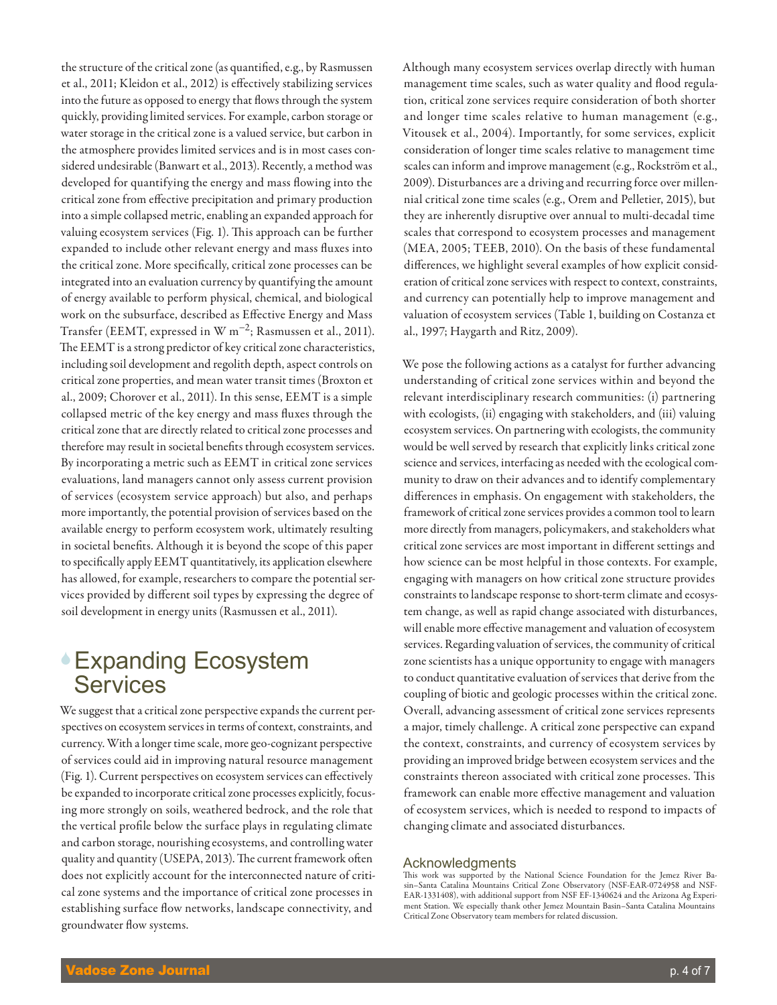the structure of the critical zone (as quantified, e.g., by Rasmussen et al., 2011; Kleidon et al., 2012) is effectively stabilizing services into the future as opposed to energy that flows through the system quickly, providing limited services. For example, carbon storage or water storage in the critical zone is a valued service, but carbon in the atmosphere provides limited services and is in most cases considered undesirable (Banwart et al., 2013). Recently, a method was developed for quantifying the energy and mass flowing into the critical zone from effective precipitation and primary production into a simple collapsed metric, enabling an expanded approach for valuing ecosystem services (Fig. 1). This approach can be further expanded to include other relevant energy and mass fluxes into the critical zone. More specifically, critical zone processes can be integrated into an evaluation currency by quantifying the amount of energy available to perform physical, chemical, and biological work on the subsurface, described as Effective Energy and Mass Transfer (EEMT, expressed in W m−2; Rasmussen et al., 2011). The EEMT is a strong predictor of key critical zone characteristics, including soil development and regolith depth, aspect controls on critical zone properties, and mean water transit times (Broxton et al., 2009; Chorover et al., 2011). In this sense, EEMT is a simple collapsed metric of the key energy and mass fluxes through the critical zone that are directly related to critical zone processes and therefore may result in societal benefits through ecosystem services. By incorporating a metric such as EEMT in critical zone services evaluations, land managers cannot only assess current provision of services (ecosystem service approach) but also, and perhaps more importantly, the potential provision of services based on the available energy to perform ecosystem work, ultimately resulting in societal benefits. Although it is beyond the scope of this paper to specifically apply EEMT quantitatively, its application elsewhere has allowed, for example, researchers to compare the potential services provided by different soil types by expressing the degree of soil development in energy units (Rasmussen et al., 2011).

# 6Expanding Ecosystem **Services**

We suggest that a critical zone perspective expands the current perspectives on ecosystem services in terms of context, constraints, and currency. With a longer time scale, more geo-cognizant perspective of services could aid in improving natural resource management (Fig. 1). Current perspectives on ecosystem services can effectively be expanded to incorporate critical zone processes explicitly, focusing more strongly on soils, weathered bedrock, and the role that the vertical profile below the surface plays in regulating climate and carbon storage, nourishing ecosystems, and controlling water quality and quantity (USEPA, 2013). The current framework often does not explicitly account for the interconnected nature of critical zone systems and the importance of critical zone processes in establishing surface flow networks, landscape connectivity, and groundwater flow systems.

Although many ecosystem services overlap directly with human management time scales, such as water quality and flood regulation, critical zone services require consideration of both shorter and longer time scales relative to human management (e.g., Vitousek et al., 2004). Importantly, for some services, explicit consideration of longer time scales relative to management time scales can inform and improve management (e.g., Rockström et al., 2009). Disturbances are a driving and recurring force over millennial critical zone time scales (e.g., Orem and Pelletier, 2015), but they are inherently disruptive over annual to multi-decadal time scales that correspond to ecosystem processes and management (MEA, 2005; TEEB, 2010). On the basis of these fundamental differences, we highlight several examples of how explicit consideration of critical zone services with respect to context, constraints, and currency can potentially help to improve management and valuation of ecosystem services (Table 1, building on Costanza et al., 1997; Haygarth and Ritz, 2009).

We pose the following actions as a catalyst for further advancing understanding of critical zone services within and beyond the relevant interdisciplinary research communities: (i) partnering with ecologists, (ii) engaging with stakeholders, and (iii) valuing ecosystem services. On partnering with ecologists, the community would be well served by research that explicitly links critical zone science and services, interfacing as needed with the ecological community to draw on their advances and to identify complementary differences in emphasis. On engagement with stakeholders, the framework of critical zone services provides a common tool to learn more directly from managers, policymakers, and stakeholders what critical zone services are most important in different settings and how science can be most helpful in those contexts. For example, engaging with managers on how critical zone structure provides constraints to landscape response to short-term climate and ecosystem change, as well as rapid change associated with disturbances, will enable more effective management and valuation of ecosystem services. Regarding valuation of services, the community of critical zone scientists has a unique opportunity to engage with managers to conduct quantitative evaluation of services that derive from the coupling of biotic and geologic processes within the critical zone. Overall, advancing assessment of critical zone services represents a major, timely challenge. A critical zone perspective can expand the context, constraints, and currency of ecosystem services by providing an improved bridge between ecosystem services and the constraints thereon associated with critical zone processes. This framework can enable more effective management and valuation of ecosystem services, which is needed to respond to impacts of changing climate and associated disturbances.

#### Acknowledgments

This work was supported by the National Science Foundation for the Jemez River Basin–Santa Catalina Mountains Critical Zone Observatory (NSF-EAR-0724958 and NSF-EAR-1331408), with additional support from NSF EF-1340624 and the Arizona Ag Experiment Station. We especially thank other Jemez Mountain Basin–Santa Catalina Mountains Critical Zone Observatory team members for related discussion.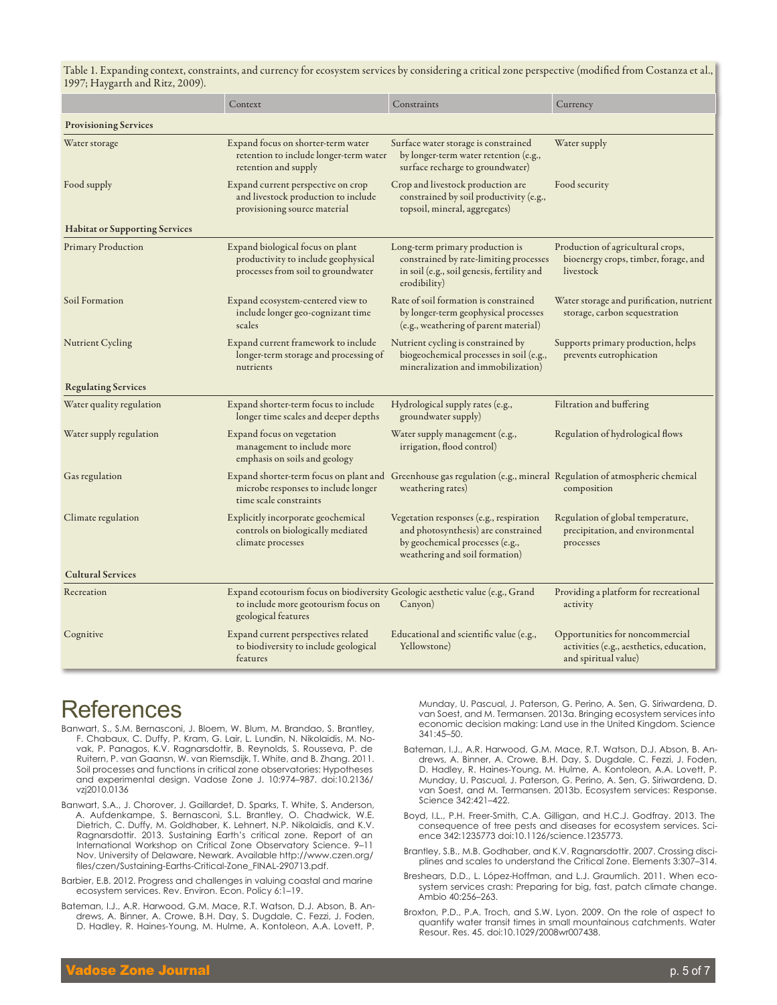Table 1. Expanding context, constraints, and currency for ecosystem services by considering a critical zone perspective (modified from Costanza et al., 1997; Haygarth and Ritz, 2009).

|                                       | Context                                                                                                                                                                             | Constraints                                                                                                                                         | Currency                                                                                            |
|---------------------------------------|-------------------------------------------------------------------------------------------------------------------------------------------------------------------------------------|-----------------------------------------------------------------------------------------------------------------------------------------------------|-----------------------------------------------------------------------------------------------------|
| <b>Provisioning Services</b>          |                                                                                                                                                                                     |                                                                                                                                                     |                                                                                                     |
| Water storage                         | Expand focus on shorter-term water<br>retention to include longer-term water<br>retention and supply                                                                                | Surface water storage is constrained<br>by longer-term water retention (e.g.,<br>surface recharge to groundwater)                                   | Water supply                                                                                        |
| Food supply                           | Expand current perspective on crop<br>and livestock production to include<br>provisioning source material                                                                           | Crop and livestock production are<br>constrained by soil productivity (e.g.,<br>topsoil, mineral, aggregates)                                       | Food security                                                                                       |
| <b>Habitat or Supporting Services</b> |                                                                                                                                                                                     |                                                                                                                                                     |                                                                                                     |
| <b>Primary Production</b>             | Expand biological focus on plant<br>productivity to include geophysical<br>processes from soil to groundwater                                                                       | Long-term primary production is<br>constrained by rate-limiting processes<br>in soil (e.g., soil genesis, fertility and<br>erodibility)             | Production of agricultural crops,<br>bioenergy crops, timber, forage, and<br>livestock              |
| Soil Formation                        | Expand ecosystem-centered view to<br>include longer geo-cognizant time<br>scales                                                                                                    | Rate of soil formation is constrained<br>by longer-term geophysical processes<br>(e.g., weathering of parent material)                              | Water storage and purification, nutrient<br>storage, carbon sequestration                           |
| Nutrient Cycling                      | Expand current framework to include<br>longer-term storage and processing of<br>nutrients                                                                                           | Nutrient cycling is constrained by<br>biogeochemical processes in soil (e.g.,<br>mineralization and immobilization)                                 | Supports primary production, helps<br>prevents eutrophication                                       |
| <b>Regulating Services</b>            |                                                                                                                                                                                     |                                                                                                                                                     |                                                                                                     |
| Water quality regulation              | Expand shorter-term focus to include<br>longer time scales and deeper depths                                                                                                        | Hydrological supply rates (e.g.,<br>groundwater supply)                                                                                             | Filtration and buffering                                                                            |
| Water supply regulation               | Expand focus on vegetation<br>management to include more<br>emphasis on soils and geology                                                                                           | Water supply management (e.g.,<br>irrigation, flood control)                                                                                        | Regulation of hydrological flows                                                                    |
| Gas regulation                        | Expand shorter-term focus on plant and Greenhouse gas regulation (e.g., mineral Regulation of atmospheric chemical<br>microbe responses to include longer<br>time scale constraints | weathering rates)                                                                                                                                   | composition                                                                                         |
| Climate regulation                    | Explicitly incorporate geochemical<br>controls on biologically mediated<br>climate processes                                                                                        | Vegetation responses (e.g., respiration<br>and photosynthesis) are constrained<br>by geochemical processes (e.g.,<br>weathering and soil formation) | Regulation of global temperature,<br>precipitation, and environmental<br>processes                  |
| <b>Cultural Services</b>              |                                                                                                                                                                                     |                                                                                                                                                     |                                                                                                     |
| Recreation                            | Expand ecotourism focus on biodiversity Geologic aesthetic value (e.g., Grand<br>to include more geotourism focus on<br>geological features                                         | Canyon)                                                                                                                                             | Providing a platform for recreational<br>activity                                                   |
| Cognitive                             | Expand current perspectives related<br>to biodiversity to include geological<br>features                                                                                            | Educational and scientific value (e.g.,<br>Yellowstone)                                                                                             | Opportunities for noncommercial<br>activities (e.g., aesthetics, education,<br>and spiritual value) |

# **References**

- Banwart, S., S.M. Bernasconi, J. Bloem, W. Blum, M. Brandao, S. Brantley, F. Chabaux, C. Duffy, P. Kram, G. Lair, L. Lundin, N. Nikolaidis, M. Novak, P. Panagos, K.V. Ragnarsdottir, B. Reynolds, S. Rousseva, P. de Ruitern, P. van Gaansn, W. van Riemsdijk, T. White, and B. Zhang. 2011. Soil processes and functions in critical zone observatories: Hypotheses and experimental design. Vadose Zone J. 10:974–987. doi:[10.2136/](10.2136/vzj) [vzj](10.2136/vzj)2010.0136
- Banwart, S.A., J. Chorover, J. Gaillardet, D. Sparks, T. White, S. Anderson, A. Aufdenkampe, S. Bernasconi, S.L. Brantley, O. Chadwick, W.E. Dietrich, C. Duffy, M. Goldhaber, K. Lehnert, N.P. Nikolaidis, and K.V. Ragnarsdottir. 2013. Sustaining Earth's critical zone. Report of an International Workshop on Critical Zone Observatory Science. 9–11 Nov. University of Delaware, Newark. Available http://www.czen.org/ files/czen/Sustaining-Earths-Critical-Zone\_FINAL-290713.pdf.
- Barbier, E.B. 2012. Progress and challenges in valuing coastal and marine ecosystem services. Rev. Environ. Econ. Policy 6:1–19.
- Bateman, I.J., A.R. Harwood, G.M. Mace, R.T. Watson, D.J. Abson, B. Andrews, A. Binner, A. Crowe, B.H. Day, S. Dugdale, C. Fezzi, J. Foden, D. Hadley, R. Haines-Young, M. Hulme, A. Kontoleon, A.A. Lovett, P.

Munday, U. Pascual, J. Paterson, G. Perino, A. Sen, G. Siriwardena, D. van Soest, and M. Termansen. 2013a. Bringing ecosystem services into economic decision making: Land use in the United Kingdom. Science 341:45–50.

- Bateman, I.J., A.R. Harwood, G.M. Mace, R.T. Watson, D.J. Abson, B. Andrews, A. Binner, A. Crowe, B.H. Day, S. Dugdale, C. Fezzi, J. Foden, D. Hadley, R. Haines-Young, M. Hulme, A. Kontoleon, A.A. Lovett, P. Munday, U. Pascual, J. Paterson, G. Perino, A. Sen, G. Siriwardena, D. van Soest, and M. Termansen. 2013b. Ecosystem services: Response. Science 342:421–422.
- Boyd, I.L., P.H. Freer-Smith, C.A. Gilligan, and H.C.J. Godfray. 2013. The consequence of tree pests and diseases for ecosystem services. Science 342:1235773 doi[:10.1126/science](10.1126/science).1235773.
- Brantley, S.B., M.B. Godhaber, and K.V. Ragnarsdottir. 2007. Crossing disciplines and scales to understand the Critical Zone. Elements 3:307–314.
- Breshears, D.D., L. López-Hoffman, and L.J. Graumlich. 2011. When ecosystem services crash: Preparing for big, fast, patch climate change. Ambio 40:256–263.
- Broxton, P.D., P.A. Troch, and S.W. Lyon. 2009. On the role of aspect to quantify water transit times in small mountainous catchments. Water Resour. Res. 45. doi:10.1029/2008wr007438.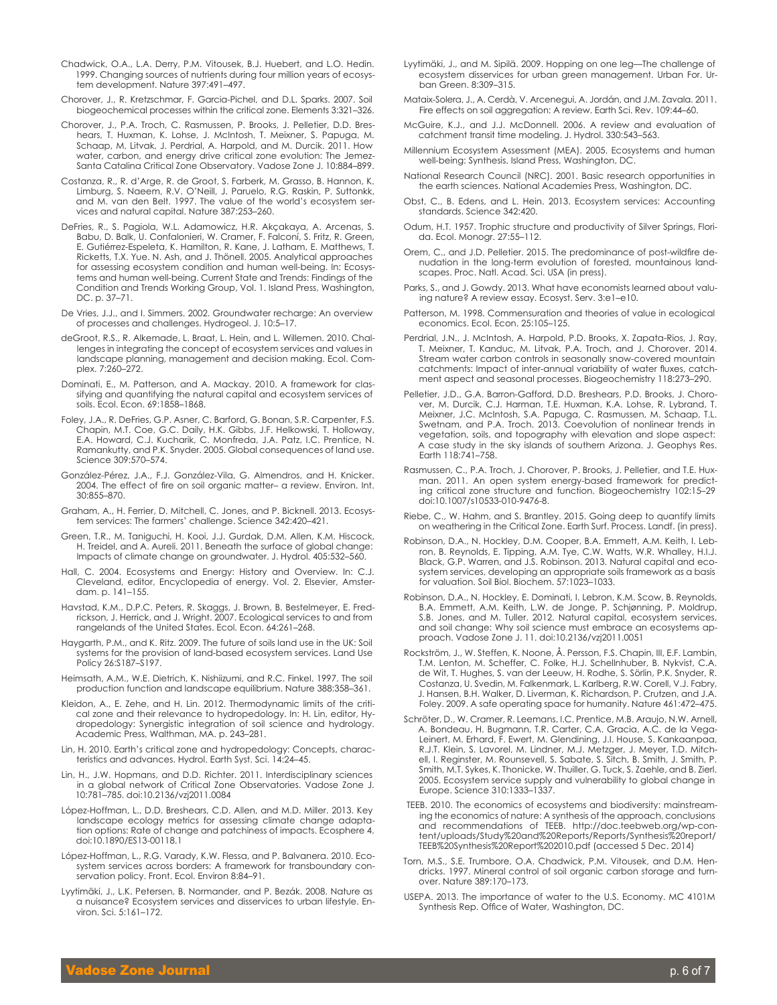- Chadwick, O.A., L.A. Derry, P.M. Vitousek, B.J. Huebert, and L.O. Hedin. 1999. Changing sources of nutrients during four million years of ecosystem development. Nature 397:491–497.
- Chorover, J., R. Kretzschmar, F. Garcia-Pichel, and D.L. Sparks. 2007. Soil biogeochemical processes within the critical zone. Elements 3:321–326.
- Chorover, J., P.A. Troch, C. Rasmussen, P. Brooks, J. Pelletier, D.D. Breshears, T. Huxman, K. Lohse, J. McIntosh, T. Meixner, S. Papuga, M. Schaap, M. Litvak, J. Perdrial, A. Harpold, and M. Durcik. 2011. How water, carbon, and energy drive critical zone evolution: The Jemez-Santa Catalina Critical Zone Observatory. Vadose Zone J. 10:884–899.
- Costanza, R., R. d'Arge, R. de Groot, S. Farberk, M. Grasso, B. Hannon, K. Limburg, S. Naeem, R.V. O'Neill, J. Paruelo, R.G. Raskin, P. Suttonkk, and M. van den Belt. 1997. The value of the world's ecosystem services and natural capital. Nature 387:253–260.
- DeFries, R., S. Pagiola, W.L. Adamowicz, H.R. Akçakaya, A. Arcenas, S. Babu, D. Balk, U. Confalonieri, W. Cramer, F. Falconí, S. Fritz, R. Green, E. Gutiérrez-Espeleta, K. Hamilton, R. Kane, J. Latham, E. Matthews, T. Ricketts, T.X. Yue. N. Ash, and J. Thönell. 2005. Analytical approaches for assessing ecosystem condition and human well-being. In: Ecosystems and human well-being. Current State and Trends: Findings of the Condition and Trends Working Group, Vol. 1. Island Press, Washington, DC. p. 37–71.
- De Vries, J.J., and I. Simmers. 2002. Groundwater recharge: An overview of processes and challenges. Hydrogeol. J. 10:5–17.
- deGroot, R.S., R. Alkemade, L. Braat, L. Hein, and L. Willemen. 2010. Challenges in integrating the concept of ecosystem services and values in landscape planning, management and decision making. Ecol. Complex. 7:260–272.
- Dominati, E., M. Patterson, and A. Mackay. 2010. A framework for classifying and quantifying the natural capital and ecosystem services of soils. Ecol. Econ. 69:1858–1868.
- Foley, J.A., R. DeFries, G.P. Asner, C. Barford, G. Bonan, S.R. Carpenter, F.S. Chapin, M.T. Coe, G.C. Daily, H.K. Gibbs, J.F. Helkowski, T. Holloway, E.A. Howard, C.J. Kucharik, C. Monfreda, J.A. Patz, I.C. Prentice, N. Ramankutty, and P.K. Snyder. 2005. Global consequences of land use. Science 309:570–574.
- González-Pérez, J.A., F.J. González-Vila, G. Almendros, and H. Knicker. 2004. The effect of fire on soil organic matter– a review. Environ. Int. 30:855–870.
- Graham, A., H. Ferrier, D. Mitchell, C. Jones, and P. Bicknell. 2013. Ecosystem services: The farmers' challenge. Science 342:420–421.
- Green, T.R., M. Taniguchi, H. Kooi, J.J. Gurdak, D.M. Allen, K.M. Hiscock, H. Treidel, and A. Aureli. 2011. Beneath the surface of global change: Impacts of climate change on groundwater. J. Hydrol. 405:532–560.
- Hall, C. 2004. Ecosystems and Energy: History and Overview. In: C.J. Cleveland, editor, Encyclopedia of energy. Vol. 2. Elsevier, Amsterdam. p. 141–155.
- Havstad, K.M., D.P.C. Peters, R. Skaggs, J. Brown, B. Bestelmeyer, E. Fredrickson, J. Herrick, and J. Wright. 2007. Ecological services to and from rangelands of the United States. Ecol. Econ. 64:261–268.
- Haygarth, P.M., and K. Ritz. 2009. The future of soils land use in the UK: Soil systems for the provision of land-based ecosystem services. Land Use Policy 26:S187–S197.
- Heimsath, A.M., W.E. Dietrich, K. Nishiizumi, and R.C. Finkel. 1997. The soil production function and landscape equilibrium. Nature 388:358–361.
- Kleidon, A., E. Zehe, and H. Lin. 2012. Thermodynamic limits of the critical zone and their relevance to hydropedology. In: H. Lin, editor, Hydropedology: Synergistic integration of soil science and hydrology. Academic Press, Walthman, MA. p. 243–281.
- Lin, H. 2010. Earth's critical zone and hydropedology: Concepts, characteristics and advances. Hydrol. Earth Syst. Sci. 14:24–45.
- Lin, H., J.W. Hopmans, and D.D. Richter. 2011. Interdisciplinary sciences in a global network of Critical Zone Observatories. Vadose Zone J. 10:781–785. doi[:10.2136/vzj](10.2136/vzj)2011.0084
- López-Hoffman, L., D.D. Breshears, C.D. Allen, and M.D. Miller. 2013. Key landscape ecology metrics for assessing climate change adaptation options: Rate of change and patchiness of impacts. Ecosphere 4. doi:<10.1890/ES>13-00118.1
- López-Hoffman, L., R.G. Varady, K.W. Flessa, and P. Balvanera. 2010. Ecosystem services across borders: A framework for transboundary conservation policy. Front. Ecol. Environ 8:84–91.
- Lyytimäki, J., L.K. Petersen, B. Normander, and P. Bezák. 2008. Nature as a nuisance? Ecosystem services and disservices to urban lifestyle. Environ. Sci. 5:161–172.
- Lyytimäki, J., and M. Sipilä. 2009. Hopping on one leg—The challenge of ecosystem disservices for urban green management. Urban For. Urban Green. 8:309–315.
- Mataix-Solera, J., A. Cerdà, V. Arcenegui, A. Jordán, and J.M. Zavala. 2011. Fire effects on soil aggregation: A review. Earth Sci. Rev. 109:44–60.
- McGuire, K.J., and J.J. McDonnell. 2006. A review and evaluation of catchment transit time modeling. J. Hydrol. 330:543–563.
- Millennium Ecosystem Assessment (MEA). 2005. Ecosystems and human well-being: Synthesis. Island Press, Washington, DC.
- National Research Council (NRC). 2001. Basic research opportunities in the earth sciences. National Academies Press, Washington, DC.
- Obst, C., B. Edens, and L. Hein. 2013. Ecosystem services: Accounting standards. Science 342:420.
- Odum, H.T. 1957. Trophic structure and productivity of Silver Springs, Florida. Ecol. Monogr. 27:55–112.
- Orem, C., and J.D. Pelletier. 2015. The predominance of post-wildfire denudation in the long-term evolution of forested, mountainous landscapes. Proc. Natl. Acad. Sci. USA (in press).
- Parks, S., and J. Gowdy. 2013. What have economists learned about valuing nature? A review essay. Ecosyst. Serv. 3:e1–e10.
- Patterson, M. 1998. Commensuration and theories of value in ecological economics. Ecol. Econ. 25:105–125.
- Perdrial, J.N., J. McIntosh, A. Harpold, P.D. Brooks, X. Zapata-Rios, J. Ray, T. Meixner, T. Kanduc, M. Litvak, P.A. Troch, and J. Chorover. 2014. Stream water carbon controls in seasonally snow-covered mountain catchments: Impact of inter-annual variability of water fluxes, catchment aspect and seasonal processes. Biogeochemistry 118:273–290.
- Pelletier, J.D., G.A. Barron-Gafford, D.D. Breshears, P.D. Brooks, J. Chorover, M. Durcik, C.J. Harman, T.E. Huxman, K.A. Lohse, R. Lybrand, T. Meixner, J.C. McIntosh, S.A. Papuga, C. Rasmussen, M. Schaap, T.L. Swetnam, and P.A. Troch. 2013. Coevolution of nonlinear trends in vegetation, soils, and topography with elevation and slope aspect: A case study in the sky islands of southern Arizona. J. Geophys Res. Earth 118:741–758.
- Rasmussen, C., P.A. Troch, J. Chorover, P. Brooks, J. Pelletier, and T.E. Huxman. 2011. An open system energy-based framework for predicting critical zone structure and function. Biogeochemistry 102:15–29 doi:10.1007/s10533-010-9476-8.
- Riebe, C., W. Hahm, and S. Brantley. 2015. Going deep to quantify limits on weathering in the Critical Zone. Earth Surf. Process. Landf. (in press).
- Robinson, D.A., N. Hockley, D.M. Cooper, B.A. Emmett, A.M. Keith, I. Lebron, B. Reynolds, E. Tipping, A.M. Tye, C.W. Watts, W.R. Whalley, H.I.J. Black, G.P. Warren, and J.S. Robinson. 2013. Natural capital and ecosystem services, developing an appropriate soils framework as a basis for valuation. Soil Biol. Biochem. 57:1023–1033.
- Robinson, D.A., N. Hockley, E. Dominati, I. Lebron, K.M. Scow, B. Reynolds, B.A. Emmett, A.M. Keith, L.W. de Jonge, P. Schjønning, P. Moldrup, S.B. Jones, and M. Tuller. 2012. Natural capital, ecosystem services, and soil change: Why soil science must embrace an ecosystems approach. Vadose Zone J. 11. doi:<10.2136/vzj>2011.0051
- Rockström, J., W. Steffen, K. Noone, Å. Persson, F.S. Chapin, III, E.F. Lambin, T.M. Lenton, M. Scheffer, C. Folke, H.J. Schellnhuber, B. Nykvist, C.A. de Wit, T. Hughes, S. van der Leeuw, H. Rodhe, S. Sörlin, P.K. Snyder, R. Costanza, U. Svedin, M. Falkenmark, L. Karlberg, R.W. Corell, V.J. Fabry, J. Hansen, B.H. Walker, D. Liverman, K. Richardson, P. Crutzen, and J.A. Foley. 2009. A safe operating space for humanity. Nature 461:472–475.
- Schröter, D., W. Cramer, R. Leemans, I.C. Prentice, M.B. Araujo, N.W. Arnell, A. Bondeau, H. Bugmann, T.R. Carter, C.A. Gracia, A.C. de la Vega-Leinert, M. Erhard, F. Ewert, M. Glendining, J.I. House, S. Kankaanpaa, R.J.T. Klein, S. Lavorel, M. Lindner, M.J. Metzger, J. Meyer, T.D. Mitchell, I. Reginster, M. Rounsevell, S. Sabate, S. Sitch, B. Smith, J. Smith, P. Smith, M.T. Sykes, K. Thonicke, W. Thuiller, G. Tuck, S. Zaehle, and B. Zierl. 2005. Ecosystem service supply and vulnerability to global change in Europe. Science 310:1333–1337.
- TEEB. 2010. The economics of ecosystems and biodiversity: mainstreaming the economics of nature: A synthesis of the approach, conclusions and recommendations of TEEB. [http://doc.teebweb.org/wp-con](http://doc.teebweb.org/wp-content/uploads/Study and Reports/Reports/Synthesis report/TEEB Synthesis Report 2010.pdf)[tent/uploads/Study%20and%20Reports/Reports/Synthesis%20report/](http://doc.teebweb.org/wp-content/uploads/Study and Reports/Reports/Synthesis report/TEEB Synthesis Report 2010.pdf) [TEEB%20Synthesis%20Report%202010.pdf](http://doc.teebweb.org/wp-content/uploads/Study and Reports/Reports/Synthesis report/TEEB Synthesis Report 2010.pdf) (accessed 5 Dec. 2014)
- Torn, M.S., S.E. Trumbore, O.A. Chadwick, P.M. Vitousek, and D.M. Hendricks. 1997. Mineral control of soil organic carbon storage and turnover. Nature 389:170–173.
- USEPA. 2013. The importance of water to the U.S. Economy. MC 4101M Synthesis Rep. Office of Water, Washington, DC.